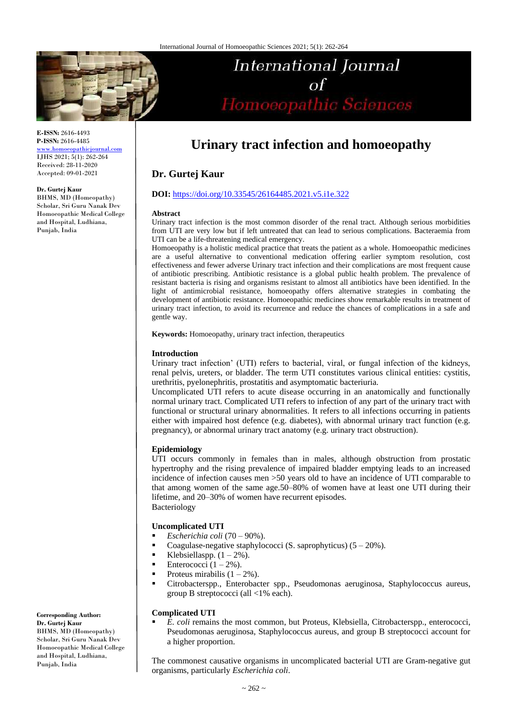

**E-ISSN:** 2616-4493 **P-ISSN:** 2616-4485

[www.homoeopathicjournal.com](file://Server/test/homoeopathicjournal/issue/vol%204/issue%201/www.homoeopathicjournal.com) IJHS 2021; 5(1): 262-264 Received: 28-11-2020 Accepted: 09-01-2021

#### **Dr. Gurtej Kaur**

BHMS, MD (Homeopathy) Scholar, Sri Guru Nanak Dev Homoeopathic Medical College and Hospital, Ludhiana, Punjab, India

# **International Journal** of<br>Homoeopathic Sciences

# **Urinary tract infection and homoeopathy**

# **Dr. Gurtej Kaur**

### **DOI:** <https://doi.org/10.33545/26164485.2021.v5.i1e.322>

#### **Abstract**

Urinary tract infection is the most common disorder of the renal tract. Although serious morbidities from UTI are very low but if left untreated that can lead to serious complications. Bacteraemia from UTI can be a life-threatening medical emergency.

Homoeopathy is a holistic medical practice that treats the patient as a whole. Homoeopathic medicines are a useful alternative to conventional medication offering earlier symptom resolution, cost effectiveness and fewer adverse Urinary tract infection and their complications are most frequent cause of antibiotic prescribing. Antibiotic resistance is a global public health problem. The prevalence of resistant bacteria is rising and organisms resistant to almost all antibiotics have been identified. In the light of antimicrobial resistance, homoeopathy offers alternative strategies in combating the development of antibiotic resistance. Homoeopathic medicines show remarkable results in treatment of urinary tract infection, to avoid its recurrence and reduce the chances of complications in a safe and gentle way.

**Keywords:** Homoeopathy, urinary tract infection, therapeutics

### **Introduction**

Urinary tract infection' (UTI) refers to bacterial, viral, or fungal infection of the kidneys, renal pelvis, ureters, or bladder. The term UTI constitutes various clinical entities: cystitis, urethritis, pyelonephritis, prostatitis and asymptomatic bacteriuria.

Uncomplicated UTI refers to acute disease occurring in an anatomically and functionally normal urinary tract. Complicated UTI refers to infection of any part of the urinary tract with functional or structural urinary abnormalities. It refers to all infections occurring in patients either with impaired host defence (e.g. diabetes), with abnormal urinary tract function (e.g. pregnancy), or abnormal urinary tract anatomy (e.g. urinary tract obstruction).

# **Epidemiology**

UTI occurs commonly in females than in males, although obstruction from prostatic hypertrophy and the rising prevalence of impaired bladder emptying leads to an increased incidence of infection causes men >50 years old to have an incidence of UTI comparable to that among women of the same age.50–80% of women have at least one UTI during their lifetime, and 20–30% of women have recurrent episodes. Bacteriology

#### **Uncomplicated UTI**

- *Escherichia coli* (70 90%).
- Coagulase-negative staphylococci (S. saprophyticus)  $(5 20\%)$ .
- Elebsiellaspp.  $(1 2\%)$ .
- Enterococci  $(1 2\%)$ .
- Proteus mirabilis  $(1 2\%)$ .
- Citrobacterspp., Enterobacter spp., Pseudomonas aeruginosa, Staphylococcus aureus, group B streptococci (all <1% each).

#### **Complicated UTI**

 *E. coli* remains the most common, but Proteus, Klebsiella, Citrobacterspp., enterococci, Pseudomonas aeruginosa, Staphylococcus aureus, and group B streptococci account for a higher proportion.

The commonest causative organisms in uncomplicated bacterial UTI are Gram-negative gut organisms, particularly *Escherichia coli*.

**Corresponding Author: Dr. Gurtej Kaur** BHMS, MD (Homeopathy) Scholar, Sri Guru Nanak Dev Homoeopathic Medical College and Hospital, Ludhiana, Punjab, India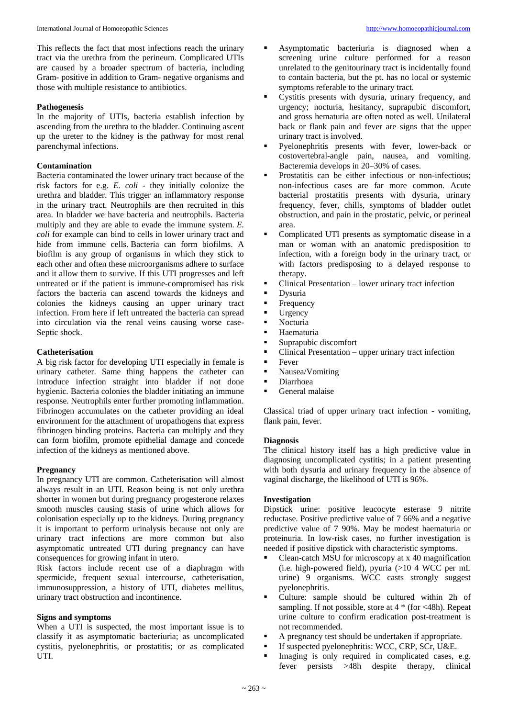# **Pathogenesis**

In the majority of UTIs, bacteria establish infection by ascending from the urethra to the bladder. Continuing ascent up the ureter to the kidney is the pathway for most renal parenchymal infections.

# **Contamination**

Bacteria contaminated the lower urinary tract because of the risk factors for e.g. *E. coli* - they initially colonize the urethra and bladder. This trigger an inflammatory response in the urinary tract. Neutrophils are then recruited in this area. In bladder we have bacteria and neutrophils. Bacteria multiply and they are able to evade the immune system. *E. coli* for example can bind to cells in lower urinary tract and hide from immune cells. Bacteria can form biofilms. A biofilm is any group of organisms in which they stick to each other and often these microorganisms adhere to surface and it allow them to survive. If this UTI progresses and left untreated or if the patient is immune-compromised has risk factors the bacteria can ascend towards the kidneys and colonies the kidneys causing an upper urinary tract infection. From here if left untreated the bacteria can spread into circulation via the renal veins causing worse case-Septic shock.

# **Catheterisation**

A big risk factor for developing UTI especially in female is urinary catheter. Same thing happens the catheter can introduce infection straight into bladder if not done hygienic. Bacteria colonies the bladder initiating an immune response. Neutrophils enter further promoting inflammation. Fibrinogen accumulates on the catheter providing an ideal environment for the attachment of uropathogens that express fibrinogen binding proteins. Bacteria can multiply and they can form biofilm, promote epithelial damage and concede infection of the kidneys as mentioned above.

# **Pregnancy**

In pregnancy UTI are common. Catheterisation will almost always result in an UTI. Reason being is not only urethra shorter in women but during pregnancy progesterone relaxes smooth muscles causing stasis of urine which allows for colonisation especially up to the kidneys. During pregnancy it is important to perform urinalysis because not only are urinary tract infections are more common but also asymptomatic untreated UTI during pregnancy can have consequences for growing infant in utero.

Risk factors include recent use of a diaphragm with spermicide, frequent sexual intercourse, catheterisation, immunosuppression, a history of UTI, diabetes mellitus, urinary tract obstruction and incontinence.

#### **Signs and symptoms**

When a UTI is suspected, the most important issue is to classify it as asymptomatic bacteriuria; as uncomplicated cystitis, pyelonephritis, or prostatitis; or as complicated UTI.

- Asymptomatic bacteriuria is diagnosed when a screening urine culture performed for a reason unrelated to the genitourinary tract is incidentally found to contain bacteria, but the pt. has no local or systemic symptoms referable to the urinary tract.
- Cystitis presents with dysuria, urinary frequency, and urgency; nocturia, hesitancy, suprapubic discomfort, and gross hematuria are often noted as well. Unilateral back or flank pain and fever are signs that the upper urinary tract is involved.
- Pyelonephritis presents with fever, lower-back or costovertebral-angle pain, nausea, and vomiting. Bacteremia develops in 20–30% of cases.
- Prostatitis can be either infectious or non-infectious; non-infectious cases are far more common. Acute bacterial prostatitis presents with dysuria, urinary frequency, fever, chills, symptoms of bladder outlet obstruction, and pain in the prostatic, pelvic, or perineal area.
- Complicated UTI presents as symptomatic disease in a man or woman with an anatomic predisposition to infection, with a foreign body in the urinary tract, or with factors predisposing to a delayed response to therapy.
- Clinical Presentation lower urinary tract infection
- **Dysuria**
- Frequency<br>I Irgency
- $\blacksquare$  Urgency
- Nocturia
- Haematuria
- Suprapubic discomfort
- Clinical Presentation upper urinary tract infection
- $\blacksquare$  Fever
- Nausea/Vomiting
- Diarrhoea
- General malaise

Classical triad of upper urinary tract infection - vomiting, flank pain, fever.

#### **Diagnosis**

The clinical history itself has a high predictive value in diagnosing uncomplicated cystitis; in a patient presenting with both dysuria and urinary frequency in the absence of vaginal discharge, the likelihood of UTI is 96%.

# **Investigation**

Dipstick urine: positive leucocyte esterase 9 nitrite reductase. Positive predictive value of 7 66% and a negative predictive value of 7 90%. May be modest haematuria or proteinuria. In low-risk cases, no further investigation is needed if positive dipstick with characteristic symptoms.

- Clean-catch MSU for microscopy at x 40 magnification (i.e. high-powered field), pyuria  $(>10 4$  WCC per mL urine) 9 organisms. WCC casts strongly suggest pyelonephritis.
- Culture: sample should be cultured within 2h of sampling. If not possible, store at 4 \* (for <48h). Repeat urine culture to confirm eradication post-treatment is not recommended.
- A pregnancy test should be undertaken if appropriate.
- If suspected pyelonephritis: WCC, CRP, SCr, U&E.
- Imaging is only required in complicated cases, e.g. fever persists >48h despite therapy, clinical